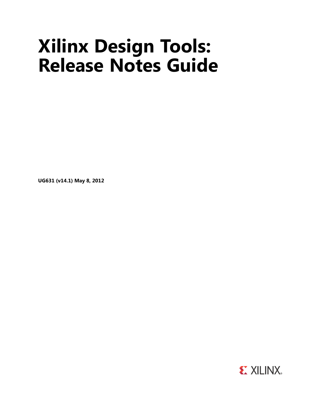# **Xilinx Design Tools: Release Notes Guide**

**UG631 (v14.1) May 8, 2012**

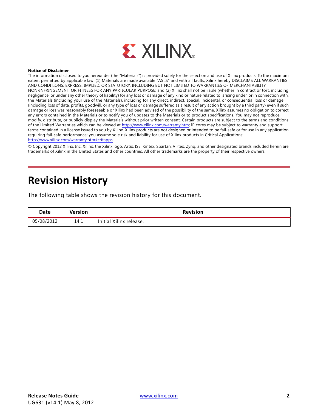

#### **Notice of Disclaimer**

The information disclosed to you hereunder (the "Materials") is provided solely for the selection and use of Xilinx products. To the maximum extent permitted by applicable law: (1) Materials are made available "AS IS" and with all faults, Xilinx hereby DISCLAIMS ALL WARRANTIES AND CONDITIONS, EXPRESS, IMPLIED, OR STATUTORY, INCLUDING BUT NOT LIMITED TO WARRANTIES OF MERCHANTABILITY, NON-INFRINGEMENT, OR FITNESS FOR ANY PARTICULAR PURPOSE; and (2) Xilinx shall not be liable (whether in contract or tort, including negligence, or under any other theory of liability) for any loss or damage of any kind or nature related to, arising under, or in connection with, the Materials (including your use of the Materials), including for any direct, indirect, special, incidental, or consequential loss or damage (including loss of data, profits, goodwill, or any type of loss or damage suffered as a result of any action brought by a third party) even if such damage or loss was reasonably foreseeable or Xilinx had been advised of the possibility of the same. Xilinx assumes no obligation to correct any errors contained in the Materials or to notify you of updates to the Materials or to product specifications. You may not reproduce, modify, distribute, or publicly display the Materials without prior written consent. Certain products are subject to the terms and conditions of the Limited Warranties which can be viewed at [http://www.xilinx.com/warranty.htm;](http://www.xilinx.com/warranty.htm) IP cores may be subject to warranty and support terms contained in a license issued to you by Xilinx. Xilinx products are not designed or intended to be fail-safe or for use in any application requiring fail-safe performance; you assume sole risk and liability for use of Xilinx products in Critical Applications: [http://www.xilinx.com/warranty.htm#critapps.](http://www.xilinx.com/warranty.htm#critapps)

© Copyright 2012 Xilinx, Inc. Xilinx, the Xilinx logo, Artix, ISE, Kintex, Spartan, Virtex, Zynq, and other designated brands included herein are trademarks of Xilinx in the United States and other countries. All other trademarks are the property of their respective owners.

### **Revision History**

The following table shows the revision history for this document.

| Date       | <b>Version</b> | <b>Revision</b>         |
|------------|----------------|-------------------------|
| 05/08/2012 | 14.1           | Initial Xilinx release. |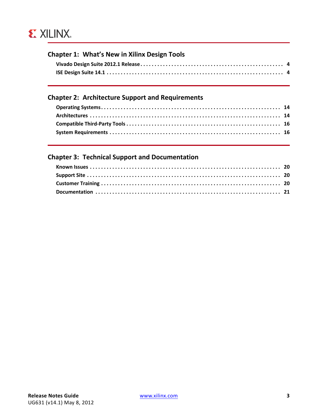## **EX XILINX**

### **[Chapter 1: What's](#page-3-0) New in Xilinx Design Tools**

### **[Chapter 2: Architecture](#page-13-0) Support and Requirements**

#### **[Chapter 3: Technical](#page-19-0) Support and Documentation**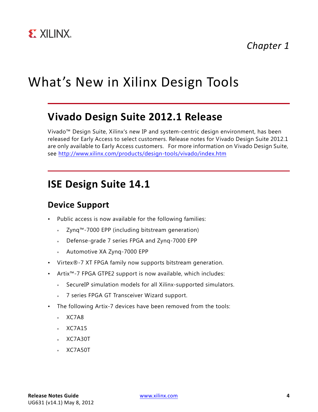## <span id="page-3-0"></span>What's New in Xilinx Design Tools

### <span id="page-3-1"></span>**Vivado Design Suite 2012.1 Release**

Vivado™ Design Suite, Xilinx's new IP and system-centric design environment, has been released for Early Access to select customers. Release notes for Vivado Design Suite 2012.1 are only available to Early Access customers. For more information on Vivado Design Suite, see<http://www.xilinx.com/products/design-tools/vivado/index.htm>

### <span id="page-3-2"></span>**ISE Design Suite 14.1**

### **Device Support**

- Public access is now available for the following families:
	- ° Zynq™-7000 EPP (including bitstream generation)
	- ° Defense-grade 7 series FPGA and Zynq-7000 EPP
	- ° Automotive XA Zynq-7000 EPP
- Virtex®-7 XT FPGA family now supports bitstream generation.
- Artix™-7 FPGA GTPE2 support is now available, which includes:
	- ° SecureIP simulation models for all Xilinx-supported simulators.
	- ° 7 series FPGA GT Transceiver Wizard support.
- The following Artix-7 devices have been removed from the tools:
	- ° XC7A8
	- ° XC7A15
	- ° XC7A30T
	- ° XC7A50T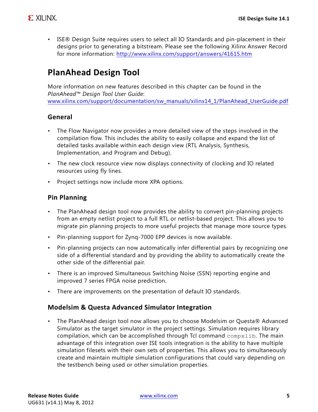• ISE® Design Suite requires users to select all IO Standards and pin-placement in their designs prior to generating a bitstream. Please see the following Xilinx Answer Record for more information: <http://www.xilinx.com/support/answers/41615.htm>

### **PlanAhead Design Tool**

More information on new features described in this chapter can be found in the *PlanAhead™ Design Tool User Guide*: [www.xilinx.com/support/documentation/sw\\_manuals/xilinx14\\_1/PlanAhead\\_UserGuide.pdf](http://www.xilinx.com/support/documentation/sw_manuals/xilinx14_1/PlanAhead_UserGuide.pdf)

### **General**

- The Flow Navigator now provides a more detailed view of the steps involved in the compilation flow. This includes the ability to easily collapse and expand the list of detailed tasks available within each design view (RTL Analysis, Synthesis, Implementation, and Program and Debug).
- The new clock resource view now displays connectivity of clocking and IO related resources using fly lines.
- Project settings now include more XPA options.

### **Pin Planning**

- The PlanAhead design tool now provides the ability to convert pin-planning projects from an empty netlist project to a full RTL or netlist-based project. This allows you to migrate pin planning projects to more useful projects that manage more source types.
- Pin-planning support for Zynq-7000 EPP devices is now available.
- Pin-planning projects can now automatically infer differential pairs by recognizing one side of a differential standard and by providing the ability to automatically create the other side of the differential pair.
- There is an improved Simultaneous Switching Noise (SSN) reporting engine and improved 7 series FPGA noise prediction.
- There are improvements on the presentation of default IO standards.

#### **Modelsim & Questa Advanced Simulator Integration**

• The PlanAhead design tool now allows you to choose Modelsim or Questa® Advanced Simulator as the target simulator in the project settings. Simulation requires library compilation, which can be accomplished through Tcl command  $\text{complexlib}$ . The main advantage of this integration over ISE tools integration is the ability to have multiple simulation filesets with their own sets of properties. This allows you to simultaneously create and maintain multiple simulation configurations that could vary depending on the testbench being used or other simulation properties.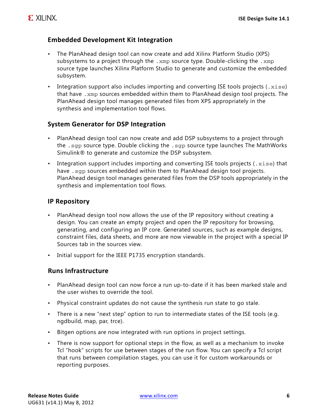### **Embedded Development Kit Integration**

- The PlanAhead design tool can now create and add Xilinx Platform Studio (XPS) subsystems to a project through the .  $xmp$  source type. Double-clicking the .  $xmp$ source type launches Xilinx Platform Studio to generate and customize the embedded subsystem.
- Integration support also includes importing and converting ISE tools projects  $(x \text{ is } e)$ that have .xmp sources embedded within them to PlanAhead design tool projects. The PlanAhead design tool manages generated files from XPS appropriately in the synthesis and implementation tool flows.

#### **System Generator for DSP Integration**

- PlanAhead design tool can now create and add DSP subsystems to a project through the .sgp source type. Double clicking the .sgp source type launches The MathWorks Simulink® to generate and customize the DSP subsystem.
- Integration support includes importing and converting ISE tools projects  $(x \leq s)$  that have . sgp sources embedded within them to PlanAhead design tool projects. PlanAhead design tool manages generated files from the DSP tools appropriately in the synthesis and implementation tool flows.

#### **IP Repository**

- PlanAhead design tool now allows the use of the IP repository without creating a design. You can create an empty project and open the IP repository for browsing, generating, and configuring an IP core. Generated sources, such as example designs, constraint files, data sheets, and more are now viewable in the project with a special IP Sources tab in the sources view.
- Initial support for the IEEE P1735 encryption standards.

#### **Runs Infrastructure**

- PlanAhead design tool can now force a run up-to-date if it has been marked stale and the user wishes to override the tool.
- Physical constraint updates do not cause the synthesis run state to go stale.
- There is a new "next step" option to run to intermediate states of the ISE tools (e.g. ngdbuild, map, par, trce).
- Bitgen options are now integrated with run options in project settings.
- There is now support for optional steps in the flow, as well as a mechanism to invoke Tcl "hook" scripts for use between stages of the run flow. You can specify a Tcl script that runs between compilation stages, you can use it for custom workarounds or reporting purposes.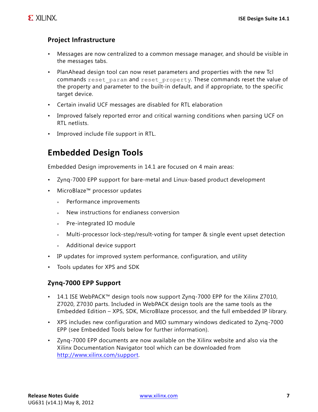### **Project Infrastructure**

- Messages are now centralized to a common message manager, and should be visible in the messages tabs.
- PlanAhead design tool can now reset parameters and properties with the new Tcl commands reset param and reset property. These commands reset the value of the property and parameter to the built-in default, and if appropriate, to the specific target device.
- Certain invalid UCF messages are disabled for RTL elaboration
- Improved falsely reported error and critical warning conditions when parsing UCF on RTL netlists.
- Improved include file support in RTL.

### **Embedded Design Tools**

Embedded Design improvements in 14.1 are focused on 4 main areas:

- Zynq-7000 EPP support for bare-metal and Linux-based product development
- MicroBlaze™ processor updates
	- ° Performance improvements
	- ° New instructions for endianess conversion
	- ° Pre-integrated IO module
	- ° Multi-processor lock-step/result-voting for tamper & single event upset detection
	- ° Additional device support
- IP updates for improved system performance, configuration, and utility
- Tools updates for XPS and SDK

#### **Zynq‐7000 EPP Support**

- 14.1 ISE WebPACK™ design tools now support Zynq-7000 EPP for the Xilinx Z7010, Z7020, Z7030 parts. Included in WebPACK design tools are the same tools as the Embedded Edition – XPS, SDK, MicroBlaze processor, and the full embedded IP library.
- XPS includes new configuration and MIO summary windows dedicated to Zynq-7000 EPP (see Embedded Tools below for further information).
- • [Zynq-7000 EPP documents are now available on the Xilinx website and also via the](http://www.xilinx.com/support)  [Xilinx Documentation Navigator tool which can be downloaded from](http://www.xilinx.com/support)  [h](http://www.xilinx.com/support)ttp://www.xilinx.com/support.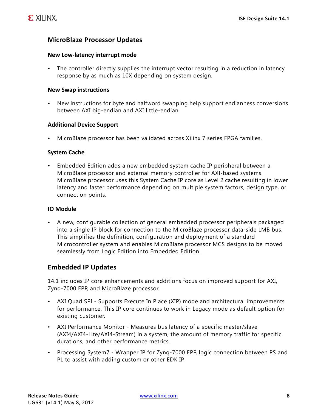#### **MicroBlaze Processor Updates**

#### **New Low‐latency interrupt mode**

• The controller directly supplies the interrupt vector resulting in a reduction in latency response by as much as 10X depending on system design.

#### **New Swap instructions**

• New instructions for byte and halfword swapping help support endianness conversions between AXI big-endian and AXI little-endian.

#### **Additional Device Support**

• MicroBlaze processor has been validated across Xilinx 7 series FPGA families.

#### **System Cache**

• Embedded Edition adds a new embedded system cache IP peripheral between a MicroBlaze processor and external memory controller for AXI-based systems. MicroBlaze processor uses this System Cache IP core as Level 2 cache resulting in lower latency and faster performance depending on multiple system factors, design type, or connection points.

#### **IO Module**

• A new, configurable collection of general embedded processor peripherals packaged into a single IP block for connection to the MicroBlaze processor data-side LMB bus. This simplifies the definition, configuration and deployment of a standard Microcontroller system and enables MicroBlaze processor MCS designs to be moved seamlessly from Logic Edition into Embedded Edition.

#### **Embedded IP Updates**

14.1 includes IP core enhancements and additions focus on improved support for AXI, Zynq-7000 EPP, and MicroBlaze processor.

- AXI Quad SPI Supports Execute In Place (XIP) mode and architectural improvements for performance. This IP core continues to work in Legacy mode as default option for existing customer.
- AXI Performance Monitor Measures bus latency of a specific master/slave (AXI4/AXI4-Lite/AXI4-Stream) in a system, the amount of memory traffic for specific durations, and other performance metrics.
- Processing System7 Wrapper IP for Zynq-7000 EPP, logic connection between PS and PL to assist with adding custom or other EDK IP.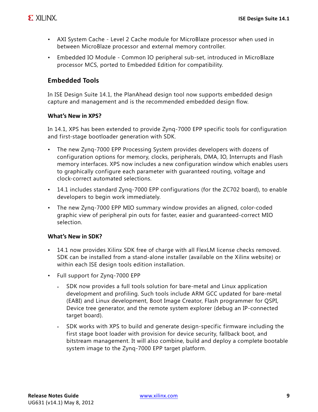- AXI System Cache Level 2 Cache module for MicroBlaze processor when used in between MicroBlaze processor and external memory controller.
- Embedded IO Module Common IO peripheral sub-set, introduced in MicroBlaze processor MCS, ported to Embedded Edition for compatibility.

#### **Embedded Tools**

In ISE Design Suite 14.1, the PlanAhead design tool now supports embedded design capture and management and is the recommended embedded design flow.

#### **What's New in XPS?**

In 14.1, XPS has been extended to provide Zynq-7000 EPP specific tools for configuration and first-stage bootloader generation with SDK.

- The new Zynq-7000 EPP Processing System provides developers with dozens of configuration options for memory, clocks, peripherals, DMA, IO, Interrupts and Flash memory interfaces. XPS now includes a new configuration window which enables users to graphically configure each parameter with guaranteed routing, voltage and clock-correct automated selections.
- 14.1 includes standard Zynq-7000 EPP configurations (for the ZC702 board), to enable developers to begin work immediately.
- The new Zynq-7000 EPP MIO summary window provides an aligned, color-coded graphic view of peripheral pin outs for faster, easier and guaranteed-correct MIO selection.

#### **What's New in SDK?**

- 14.1 now provides Xilinx SDK free of charge with all FlexLM license checks removed. SDK can be installed from a stand-alone installer (available on the Xilinx website) or within each ISE design tools edition installation.
- Full support for Zynq-7000 EPP
	- SDK now provides a full tools solution for bare-metal and Linux application development and profiling. Such tools include ARM GCC updated for bare-metal (EABI) and Linux development, Boot Image Creator, Flash programmer for QSPI, Device tree generator, and the remote system explorer (debug an IP-connected target board).
	- SDK works with XPS to build and generate design-specific firmware including the first stage boot loader with provision for device security, fallback boot, and bitstream management. It will also combine, build and deploy a complete bootable system image to the Zynq-7000 EPP target platform.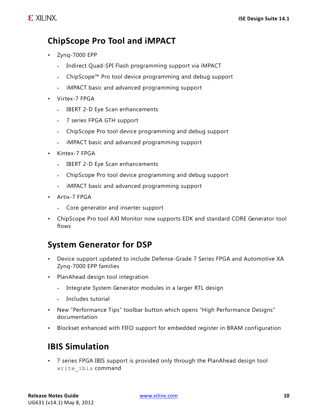### **ChipScope Pro Tool and iMPACT**

- Zynq-7000 EPP
	- ° Indirect Quad-SPI Flash programming support via iMPACT
	- ° ChipScope™ Pro tool device programming and debug support
	- ° iMPACT basic and advanced programming support
- Virtex-7 FPGA
	- ° IBERT 2-D Eye Scan enhancements
	- ° 7 series FPGA GTH support
	- ° ChipScope Pro tool device programming and debug support
	- ° iMPACT basic and advanced programming support
- Kintex-7 FPGA
	- ° IBERT 2-D Eye Scan enhancements
	- ° ChipScope Pro tool device programming and debug support
	- ° iMPACT basic and advanced programming support
- Artix-7 FPGA
	- ° Core generator and inserter support
- ChipScope Pro tool AXI Monitor now supports EDK and standard CORE Generator tool flows

### **System Generator for DSP**

- Device support updated to include Defense-Grade 7 Series FPGA and Automotive XA Zynq-7000 EPP families
- PlanAhead design tool integration
	- ° Integrate System Generator modules in a larger RTL design
	- ° Includes tutorial
- New "Performance Tips" toolbar button which opens "High Performance Designs" documentation
- Blockset enhanced with FIFO support for embedded register in BRAM configuration

### **IBIS Simulation**

• 7 series FPGA IBIS support is provided only through the PlanAhead design tool write ibis command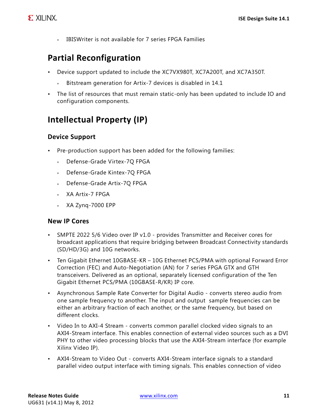° IBISWriter is not available for 7 series FPGA Families

### **Partial Reconfiguration**

- Device support updated to include the XC7VX980T, XC7A200T, and XC7A350T.
	- Bitstream generation for Artix-7 devices is disabled in 14.1
- The list of resources that must remain static-only has been updated to include IO and configuration components.

### **Intellectual Property (IP)**

### **Device Support**

- Pre-production support has been added for the following families:
	- Defense-Grade Virtex-7Q FPGA
	- Defense-Grade Kintex-7Q FPGA
	- Defense-Grade Artix-7Q FPGA
	- ° XA Artix-7 FPGA
	- ° XA Zynq-7000 EPP

#### **New IP Cores**

- SMPTE 2022 5/6 Video over IP v1.0 provides Transmitter and Receiver cores for broadcast applications that require bridging between Broadcast Connectivity standards (SD/HD/3G) and 10G networks.
- Ten Gigabit Ethernet 10GBASE-KR 10G Ethernet PCS/PMA with optional Forward Error Correction (FEC) and Auto-Negotiation (AN) for 7 series FPGA GTX and GTH transceivers. Delivered as an optional, separately licensed configuration of the Ten Gigabit Ethernet PCS/PMA (10GBASE-R/KR) IP core.
- Asynchronous Sample Rate Converter for Digital Audio converts stereo audio from one sample frequency to another. The input and output sample frequencies can be either an arbitrary fraction of each another, or the same frequency, but based on different clocks.
- Video In to AXI-4 Stream converts common parallel clocked video signals to an AXI4-Stream interface. This enables connection of external video sources such as a DVI PHY to other video processing blocks that use the AXI4-Stream interface (for example Xilinx Video IP).
- AXI4-Stream to Video Out converts AXI4-Stream interface signals to a standard parallel video output interface with timing signals. This enables connection of video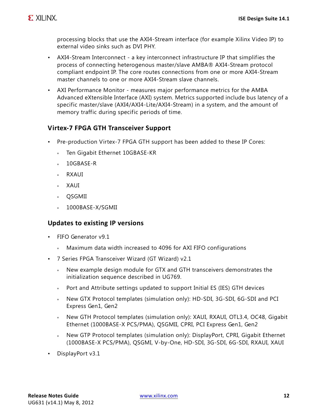processing blocks that use the AXI4-Stream interface (for example Xilinx Video IP) to external video sinks such as DVI PHY.

- AXI4-Stream Interconnect a key interconnect infrastructure IP that simplifies the process of connecting heterogenous master/slave AMBA® AXI4-Stream protocol compliant endpoint IP. The core routes connections from one or more AXI4-Stream master channels to one or more AXI4-Stream slave channels.
- AXI Performance Monitor measures major performance metrics for the AMBA Advanced eXtensible Interface (AXI) system. Metrics supported include bus latency of a specific master/slave (AXI4/AXI4-Lite/AXI4-Stream) in a system, and the amount of memory traffic during specific periods of time.

### **Virtex‐7 FPGA GTH Transceiver Support**

- Pre-production Virtex-7 FPGA GTH support has been added to these IP Cores:
	- ° Ten Gigabit Ethernet 10GBASE-KR
	- ° 10GBASE-R
	- ° RXAUI
	- ° XAUI
	- ° QSGMII
	- $\cdot$  1000BASE-X/SGMII

#### **Updates to existing IP versions**

- FIFO Generator v9.1
	- ° Maximum data width increased to 4096 for AXI FIFO configurations
- 7 Series FPGA Transceiver Wizard (GT Wizard) v2.1
	- ° New example design module for GTX and GTH transceivers demonstrates the initialization sequence described in UG769.
	- Port and Attribute settings updated to support Initial ES (IES) GTH devices
	- ° New GTX Protocol templates (simulation only): HD-SDI, 3G-SDI, 6G-SDI and PCI Express Gen1, Gen2
	- New GTH Protocol templates (simulation only): XAUI, RXAUI, OTL3.4, OC48, Gigabit Ethernet (1000BASE-X PCS/PMA), QSGMII, CPRI, PCI Express Gen1, Gen2
	- ° New GTP Protocol templates (simulation only): DisplayPort, CPRI, Gigabit Ethernet (1000BASE-X PCS/PMA), QSGMI, V-by-One, HD-SDI, 3G-SDI, 6G-SDI, RXAUI, XAUI
- DisplayPort v3.1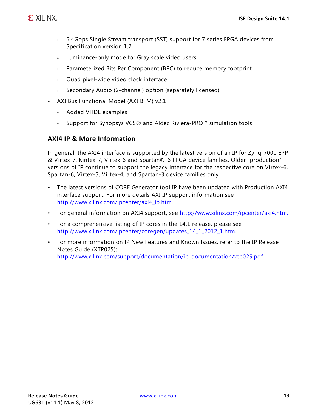- ° 5.4Gbps Single Stream transport (SST) support for 7 series FPGA devices from Specification version 1.2
- ° Luminance-only mode for Gray scale video users
- ° Parameterized Bits Per Component (BPC) to reduce memory footprint
- ° Quad pixel-wide video clock interface
- Secondary Audio (2-channel) option (separately licensed)
- AXI Bus Functional Model (AXI BFM) v2.1
	- ° Added VHDL examples
	- ° Support for Synopsys VCS® and Aldec Riviera-PRO™ simulation tools

#### **AXI4 IP & More Information**

In general, the AXI4 interface is supported by the latest version of an IP for Zynq-7000 EPP & Virtex-7, Kintex-7, Virtex-6 and Spartan®-6 FPGA device families. Older "production" versions of IP continue to support the legacy interface for the respective core on Virtex-6, Spartan-6, Virtex-5, Virtex-4, and Spartan-3 device families only.

- The latest versions of CORE Generator tool IP have been updated with Production AXI4 interface support. For more details AXI IP support information see [http://www.xilinx.com/ipcenter/axi4\\_ip.htm.](http://www.xilinx.com/ipcenter/axi4_ip.htm)
- For general information on AXI4 support, see [http://www.xilinx.com/ipcenter/axi4.htm.](http://www.xilinx.com/ipcenter/axi4.htm)
- For a comprehensive listing of IP cores in the 14.1 release, please see [http://www.xilinx.com/ipcenter/coregen/updates\\_14\\_1\\_2012\\_1.htm.](http://www.xilinx.com/ipcenter/coregen/updates_14_1_2012_1.htm)
- For more information on IP New Features and Known Issues, refer to the IP Release Notes Guide (XTP025): [http://www.xilinx.com/support/documentation/ip\\_documentation/xtp025.pdf.](http://www.xilinx.com/support/documentation/ip_documentation/xtp025.pdf)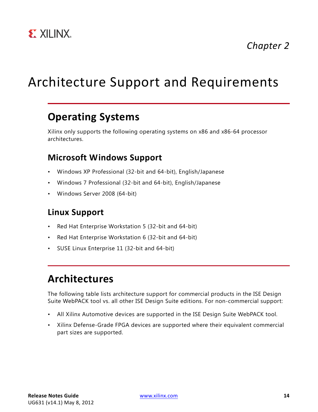

*Chapter 2*

## <span id="page-13-0"></span>Architecture Support and Requirements

### <span id="page-13-1"></span>**Operating Systems**

Xilinx only supports the following operating systems on x86 and x86-64 processor architectures.

### **Microsoft Windows Support**

- Windows XP Professional (32-bit and 64-bit), English/Japanese
- Windows 7 Professional (32-bit and 64-bit), English/Japanese
- Windows Server 2008 (64-bit)

### **Linux Support**

- Red Hat Enterprise Workstation 5 (32-bit and 64-bit)
- Red Hat Enterprise Workstation 6 (32-bit and 64-bit)
- SUSE Linux Enterprise 11 (32-bit and 64-bit)

### <span id="page-13-2"></span>**Architectures**

The following table lists architecture support for commercial products in the ISE Design Suite WebPACK tool vs. all other ISE Design Suite editions. For non-commercial support:

- All Xilinx Automotive devices are supported in the ISE Design Suite WebPACK tool.
- Xilinx Defense-Grade FPGA devices are supported where their equivalent commercial part sizes are supported.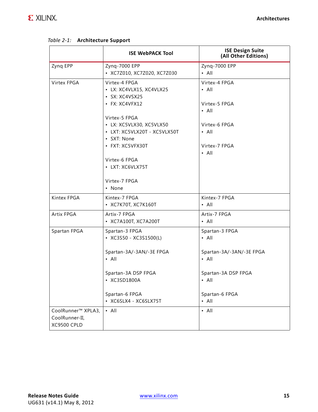|                                                            | <b>ISE WebPACK Tool</b>                                                       | <b>ISE Design Suite</b><br>(All Other Editions) |
|------------------------------------------------------------|-------------------------------------------------------------------------------|-------------------------------------------------|
| Zynq EPP                                                   | Zynq-7000 EPP<br>• XC7Z010, XC7Z020, XC7Z030                                  | Zynq-7000 EPP<br>$\cdot$ All                    |
| <b>Virtex FPGA</b>                                         | Virtex-4 FPGA<br>· LX: XC4VLX15, XC4VLX25<br>· SX: XC4VSX25<br>· FX: XC4VFX12 | Virtex-4 FPGA<br>$\cdot$ All<br>Virtex-5 FPGA   |
|                                                            | Virtex-5 FPGA<br>· LX: XC5VLX30, XC5VLX50<br>• LXT: XC5VLX20T - XC5VLX50T     | $\cdot$ All<br>Virtex-6 FPGA<br>$\cdot$ All     |
|                                                            | • SXT: None<br>• FXT: XC5VFX30T                                               | Virtex-7 FPGA<br>$\cdot$ All                    |
|                                                            | Virtex-6 FPGA<br>• LXT: XC6VLX75T                                             |                                                 |
|                                                            | Virtex-7 FPGA<br>• None                                                       |                                                 |
| Kintex FPGA                                                | Kintex-7 FPGA<br>• XC7K70T, XC7K160T                                          | Kintex-7 FPGA<br>$\cdot$ All                    |
| Artix FPGA                                                 | Artix-7 FPGA<br>• XC7A100T, XC7A200T                                          | Artix-7 FPGA<br>$\cdot$ All                     |
| Spartan FPGA                                               | Spartan-3 FPGA<br>• XC3S50 - XC3S1500(L)                                      | Spartan-3 FPGA<br>$\cdot$ All                   |
|                                                            | Spartan-3A/-3AN/-3E FPGA<br>$\cdot$ All                                       | Spartan-3A/-3AN/-3E FPGA<br>$\cdot$ All         |
|                                                            | Spartan-3A DSP FPGA<br>XC3SD1800A                                             | Spartan-3A DSP FPGA<br>• All                    |
|                                                            | Spartan-6 FPGA<br>• XC6SLX4 - XC6SLX75T                                       | Spartan-6 FPGA<br>$\cdot$ All                   |
| CoolRunner™ XPLA3,<br>CoolRunner-II,<br><b>XC9500 CPLD</b> | $\cdot$ All                                                                   | $\cdot$ All                                     |

#### *Table 2‐1:* **Architecture Support**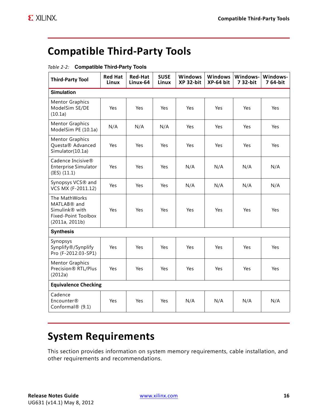## <span id="page-15-0"></span>**Compatible Third‐Party Tools**

| <b>Third-Party Tool</b>                                                                                    | <b>Red Hat</b><br>Linux | <b>Red-Hat</b><br>Linux-64 | <b>SUSE</b><br>Linux | Windows<br>XP 32-bit | <b>Windows</b><br>XP-64 bit | Windows-<br>7 32-bit | Windows-<br>764-bit |
|------------------------------------------------------------------------------------------------------------|-------------------------|----------------------------|----------------------|----------------------|-----------------------------|----------------------|---------------------|
| <b>Simulation</b>                                                                                          |                         |                            |                      |                      |                             |                      |                     |
| <b>Mentor Graphics</b><br>ModelSim SE/DE<br>(10.1a)                                                        | Yes                     | Yes                        | Yes                  | Yes                  | Yes                         | Yes                  | Yes                 |
| <b>Mentor Graphics</b><br>ModelSim PE (10.1a)                                                              | N/A                     | N/A                        | N/A                  | Yes                  | Yes                         | Yes                  | Yes                 |
| <b>Mentor Graphics</b><br>Questa® Advanced<br>Simulator(10.1a)                                             | Yes                     | Yes                        | Yes                  | Yes                  | Yes                         | Yes                  | Yes                 |
| Cadence Incisive®<br><b>Enterprise Simulator</b><br>(IES) (11.1)                                           | Yes                     | Yes                        | Yes                  | N/A                  | N/A                         | N/A                  | N/A                 |
| Synopsys VCS® and<br>VCS MX (F-2011.12)                                                                    | Yes                     | Yes                        | Yes                  | N/A                  | N/A                         | N/A                  | N/A                 |
| The MathWorks<br>MATLAB® and<br>Simulink <sup>®</sup> with<br><b>Fixed-Point Toolbox</b><br>(2011a, 2011b) | Yes                     | Yes                        | Yes                  | Yes                  | Yes                         | Yes                  | Yes                 |
| <b>Synthesis</b>                                                                                           |                         |                            |                      |                      |                             |                      |                     |
| Synopsys<br>Synplify®/Synplify<br>Pro (F-2012.03-SP1)                                                      | Yes                     | Yes                        | Yes                  | Yes                  | Yes                         | Yes                  | Yes                 |
| <b>Mentor Graphics</b><br>Precision® RTL/Plus<br>(2012a)                                                   | Yes                     | Yes                        | Yes                  | Yes                  | Yes                         | Yes                  | Yes                 |
| <b>Equivalence Checking</b>                                                                                |                         |                            |                      |                      |                             |                      |                     |
| Cadence<br>Encounter®<br>Conformal® (9.1)                                                                  | Yes                     | Yes                        | Yes                  | N/A                  | N/A                         | N/A                  | N/A                 |

#### *Table 2‐2:* **Compatible Third-Party Tools**

### <span id="page-15-1"></span>**System Requirements**

This section provides information on system memory requirements, cable installation, and other requirements and recommendations.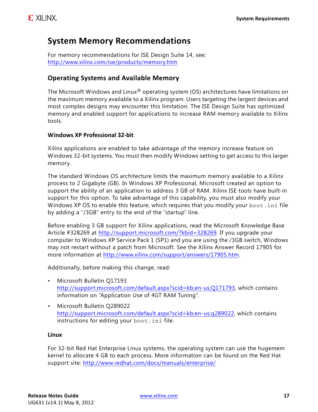### **System Memory Recommendations**

[For memory recommendations for ISE Design Suite 14, see:](http://www.xilinx.com/ise/products/memory.htm)  http://www.xilinx.com/ise/products/memory.htm

#### **Operating Systems and Available Memory**

The Microsoft Windows and Linux<sup>®</sup> operating system (OS) architectures have limitations on the maximum memory available to a Xilinx program. Users targeting the largest devices and most complex designs may encounter this limitation. The ISE Design Suite has optimized memory and enabled support for applications to increase RAM memory available to Xilinx tools.

#### **Windows XP Professional 32‐bit**

Xilinx applications are enabled to take advantage of the memory increase feature on Windows 32-bit systems. You must then modify Windows setting to get access to this larger memory.

The standard Windows OS architecture limits the maximum memory available to a Xilinx process to 2 Gigabyte (GB). In Windows XP Professional, Microsoft created an option to support the ability of an application to address 3 GB of RAM. Xilinx ISE tools have built-in support for this option. To take advantage of this capability, you must also modify your Windows XP OS to enable this feature, which requires that you modify your boot. ini file by adding a "/3GB" entry to the end of the "startup" line.

Before enabling 3 GB support for Xilinx applications, read the Microsoft Knowledge Base Article #328269 at <http://support.microsoft.com/?kbid=328269>. If you upgrade your computer to Windows XP Service Pack 1 (SP1) and you are using the /3GB switch, Windows may not restart without a patch from Microsoft. See the Xilinx Answer Record 17905 for more information at <http://www.xilinx.com/support/answers/17905.htm>.

Additionally, before making this change, read:

- Microsoft Bulletin Q17193 [http://support.microsoft.com/default.aspx?scid=kb;en-us;Q171793,](http://support.microsoft.com/default.aspx?scid=kb;en-us;Q171793) which contains information on "Application Use of 4GT RAM Tuning".
- Microsoft Bulletin Q289022 [http://support.microsoft.com/default.aspx?scid=kb;en-us;q289022,](http://support.microsoft.com/default.aspx?scid=kb;en-us;q289022) which contains instructions for editing your boot.ini file.

#### **Linux**

For 32-bit Red Hat Enterprise Linux systems, the operating system can use the hugemem kernel to allocate 4 GB to each process. More information can be found on the Red Hat support site: http://www.redhat.com/docs/manuals/enterprise/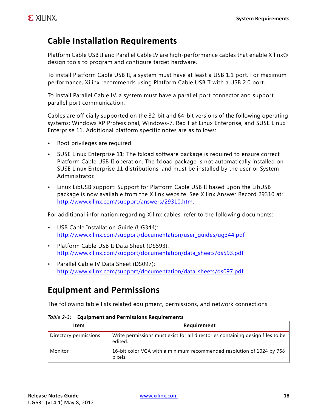### **Cable Installation Requirements**

Platform Cable USB II and Parallel Cable IV are high-performance cables that enable Xilinx® design tools to program and configure target hardware.

To install Platform Cable USB II, a system must have at least a USB 1.1 port. For maximum performance, Xilinx recommends using Platform Cable USB II with a USB 2.0 port.

To install Parallel Cable IV, a system must have a parallel port connector and support parallel port communication.

Cables are officially supported on the 32-bit and 64-bit versions of the following operating systems: Windows XP Professional, Windows-7, Red Hat Linux Enterprise, and SUSE Linux Enterprise 11. Additional platform specific notes are as follows:

- Root privileges are required.
- SUSE Linux Enterprise 11: The fxload software package is required to ensure correct Platform Cable USB II operation. The fxload package is not automatically installed on SUSE Linux Enterprise 11 distributions, and must be installed by the user or System Administrator.
- Linux LibUSB support: Support for Platform Cable USB II based upon the LibUSB package is now available from the Xilinx website. See Xilinx Answer Record 29310 at: [http://www.xilinx.com/support/answers/29310.htm.](http://www.xilinx.com/support/answers/29310.htm)

For additional information regarding Xilinx cables, refer to the following documents:

- USB Cable Installation Guide (UG344): [http://www.xilinx.com/support/documentation/user\\_guides/ug344.pdf](http://www.xilinx.com/support/documentation/user_guides/ug344.pdf)
- Platform Cable USB II Data Sheet (DS593): [http://www.xilinx.com/support/documentation/data\\_sheets/ds593.pdf](http://www.xilinx.com/support/documentation/data_sheets/ds593.pdf)
- Parallel Cable IV Data Sheet (DS097): [http://www.xilinx.com/support/documentation/data\\_sheets/ds097.pdf](http://www.xilinx.com/support/documentation/data_sheets/ds097.pdf)

### **Equipment and Permissions**

The following table lists related equipment, permissions, and network connections.

| Item                  | Requirement                                                                               |
|-----------------------|-------------------------------------------------------------------------------------------|
| Directory permissions | Write permissions must exist for all directories containing design files to be<br>edited. |
| Monitor               | 16-bit color VGA with a minimum recommended resolution of 1024 by 768<br>pixels.          |

*Table 2‐3:* **Equipment and Permissions Requirements**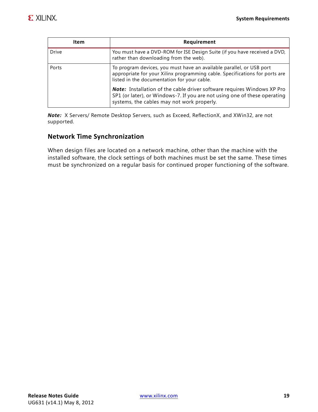| Item         | Requirement                                                                                                                                                                                               |
|--------------|-----------------------------------------------------------------------------------------------------------------------------------------------------------------------------------------------------------|
| <b>Drive</b> | You must have a DVD-ROM for ISE Design Suite (if you have received a DVD,<br>rather than downloading from the web).                                                                                       |
| Ports        | To program devices, you must have an available parallel, or USB port<br>appropriate for your Xilinx programming cable. Specifications for ports are<br>listed in the documentation for your cable.        |
|              | <b>Note:</b> Installation of the cable driver software requires Windows XP Pro<br>SP1 (or later), or Windows-7. If you are not using one of these operating<br>systems, the cables may not work properly. |

*Note:* X Servers/ Remote Desktop Servers, such as Exceed, ReflectionX, and XWin32, are not supported.

#### **Network Time Synchronization**

When design files are located on a network machine, other than the machine with the installed software, the clock settings of both machines must be set the same. These times must be synchronized on a regular basis for continued proper functioning of the software.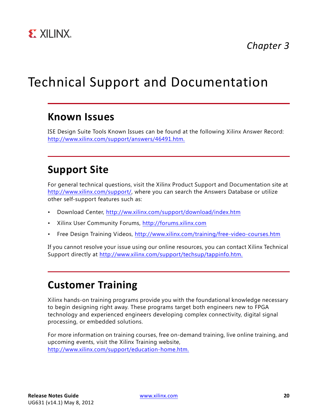

*Chapter 3*

## <span id="page-19-0"></span>Technical Support and Documentation

### <span id="page-19-1"></span>**Known Issues**

ISE Design Suite Tools Known Issues can be found at the following Xilinx Answer Record: [http://www.xilinx.com/support/answers/46491.htm.](http://www.xilinx.com/support/answers/46491.htm)

### <span id="page-19-2"></span>**Support Site**

For general technical questions, visit the Xilinx Product Support and Documentation site at <http://www.xilinx.com/support/>, where you can search the Answers Database or utilize other self-support features such as:

- Download Center, [http://ww.xilinx.com/support/download/index.htm](http://www.xilinx.com/support/download/index.htm)
- Xilinx User Community Forums, [http://forums.xilinx.com](http://forums.xilinx.com/)
- • [Free Design Training Videos, h](http://www.xilinx.com/training/free-video-courses.htm)ttp://www.xilinx.com/training/free-video-courses.htm

If you cannot resolve your issue using our online resources, you can contact Xilinx Technical Support directly at [http://www.xilinx.com/support/techsup/tappinfo.htm.](http://www.xilinx.com/support/techsup/tappinfo.htm)

### <span id="page-19-3"></span>**Customer Training**

Xilinx hands-on training programs provide you with the foundational knowledge necessary to begin designing right away. These programs target both engineers new to FPGA technology and experienced engineers developing complex connectivity, digital signal processing, or embedded solutions.

For more information on training courses, free on-demand training, live online training, and upcoming events, visit the Xilinx Training website, [http://www.xilinx.com/support/education-home.htm.](http://www.xilinx.com/support/education-home.htm)